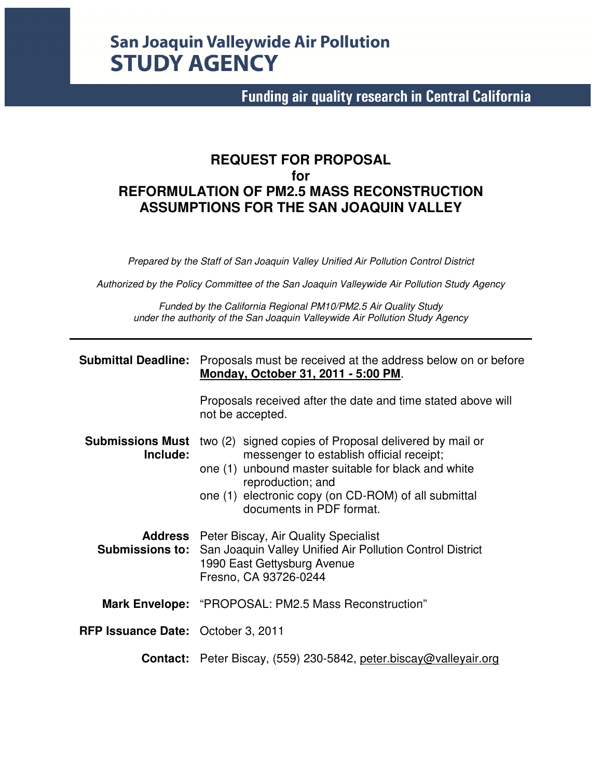# **San Joaquin Valleywide Air Pollution STUDY AGENCY**

# **Funding air quality research in Central California**

## **REQUEST FOR PROPOSAL for REFORMULATION OF PM2.5 MASS RECONSTRUCTION ASSUMPTIONS FOR THE SAN JOAQUIN VALLEY**

*Prepared by the Staff of San Joaquin Valley Unified Air Pollution Control District* 

*Authorized by the Policy Committee of the San Joaquin Valleywide Air Pollution Study Agency* 

*Funded by the California Regional PM10/PM2.5 Air Quality Study under the authority of the San Joaquin Valleywide Air Pollution Study Agency* 

| <b>Submittal Deadline:</b>          | Proposals must be received at the address below on or before<br>Monday, October 31, 2011 - 5:00 PM.                                                                                                                                                                |  |  |  |
|-------------------------------------|--------------------------------------------------------------------------------------------------------------------------------------------------------------------------------------------------------------------------------------------------------------------|--|--|--|
|                                     | Proposals received after the date and time stated above will<br>not be accepted.                                                                                                                                                                                   |  |  |  |
| <b>Submissions Must</b><br>Include: | two (2) signed copies of Proposal delivered by mail or<br>messenger to establish official receipt;<br>one (1) unbound master suitable for black and white<br>reproduction; and<br>one (1) electronic copy (on CD-ROM) of all submittal<br>documents in PDF format. |  |  |  |
|                                     | <b>Address</b> Peter Biscay, Air Quality Specialist<br><b>Submissions to:</b> San Joaquin Valley Unified Air Pollution Control District<br>1990 East Gettysburg Avenue<br>Fresno, CA 93726-0244                                                                    |  |  |  |
|                                     | Mark Envelope: "PROPOSAL: PM2.5 Mass Reconstruction"                                                                                                                                                                                                               |  |  |  |
|                                     | <b>RFP Issuance Date: October 3, 2011</b>                                                                                                                                                                                                                          |  |  |  |
|                                     | Contact: Peter Biscay, (559) 230-5842, peter.biscay@valleyair.org                                                                                                                                                                                                  |  |  |  |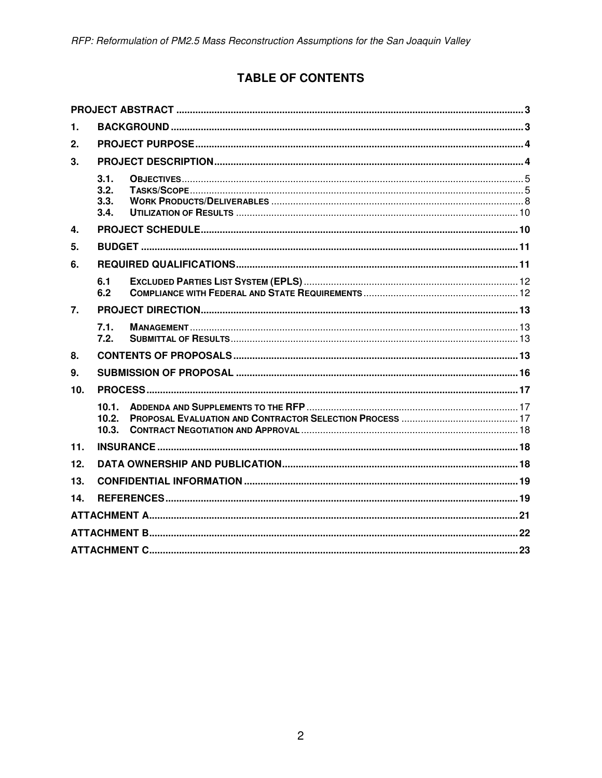## **TABLE OF CONTENTS**

| 1.               |                              |  |  |  |  |
|------------------|------------------------------|--|--|--|--|
| 2.               |                              |  |  |  |  |
| $3_{-}$          |                              |  |  |  |  |
|                  | 3.1.<br>3.2.<br>3.3.<br>3.4. |  |  |  |  |
| 4.               |                              |  |  |  |  |
| 5.               |                              |  |  |  |  |
| 6.               |                              |  |  |  |  |
|                  | 6.1<br>6.2                   |  |  |  |  |
| $\overline{7}$ . |                              |  |  |  |  |
|                  | 7.1.<br>7.2.                 |  |  |  |  |
| 8.               |                              |  |  |  |  |
| 9.               |                              |  |  |  |  |
| 10.              |                              |  |  |  |  |
|                  | 10.1.<br>10.2.<br>10.3.      |  |  |  |  |
| 11.              |                              |  |  |  |  |
| 12.              |                              |  |  |  |  |
| 13.              |                              |  |  |  |  |
| 14.              |                              |  |  |  |  |
|                  |                              |  |  |  |  |
|                  |                              |  |  |  |  |
|                  |                              |  |  |  |  |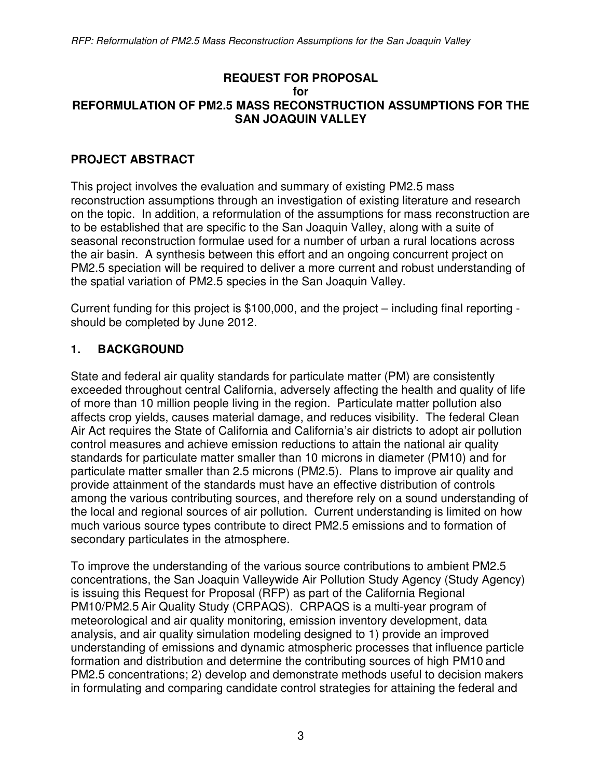#### **REQUEST FOR PROPOSAL for REFORMULATION OF PM2.5 MASS RECONSTRUCTION ASSUMPTIONS FOR THE SAN JOAQUIN VALLEY**

## **PROJECT ABSTRACT**

This project involves the evaluation and summary of existing PM2.5 mass reconstruction assumptions through an investigation of existing literature and research on the topic. In addition, a reformulation of the assumptions for mass reconstruction are to be established that are specific to the San Joaquin Valley, along with a suite of seasonal reconstruction formulae used for a number of urban a rural locations across the air basin. A synthesis between this effort and an ongoing concurrent project on PM2.5 speciation will be required to deliver a more current and robust understanding of the spatial variation of PM2.5 species in the San Joaquin Valley.

Current funding for this project is \$100,000, and the project – including final reporting should be completed by June 2012.

## **1. BACKGROUND**

State and federal air quality standards for particulate matter (PM) are consistently exceeded throughout central California, adversely affecting the health and quality of life of more than 10 million people living in the region. Particulate matter pollution also affects crop yields, causes material damage, and reduces visibility. The federal Clean Air Act requires the State of California and California's air districts to adopt air pollution control measures and achieve emission reductions to attain the national air quality standards for particulate matter smaller than 10 microns in diameter (PM10) and for particulate matter smaller than 2.5 microns (PM2.5). Plans to improve air quality and provide attainment of the standards must have an effective distribution of controls among the various contributing sources, and therefore rely on a sound understanding of the local and regional sources of air pollution. Current understanding is limited on how much various source types contribute to direct PM2.5 emissions and to formation of secondary particulates in the atmosphere.

To improve the understanding of the various source contributions to ambient PM2.5 concentrations, the San Joaquin Valleywide Air Pollution Study Agency (Study Agency) is issuing this Request for Proposal (RFP) as part of the California Regional PM10/PM2.5 Air Quality Study (CRPAQS). CRPAQS is a multi-year program of meteorological and air quality monitoring, emission inventory development, data analysis, and air quality simulation modeling designed to 1) provide an improved understanding of emissions and dynamic atmospheric processes that influence particle formation and distribution and determine the contributing sources of high PM10 and PM2.5 concentrations; 2) develop and demonstrate methods useful to decision makers in formulating and comparing candidate control strategies for attaining the federal and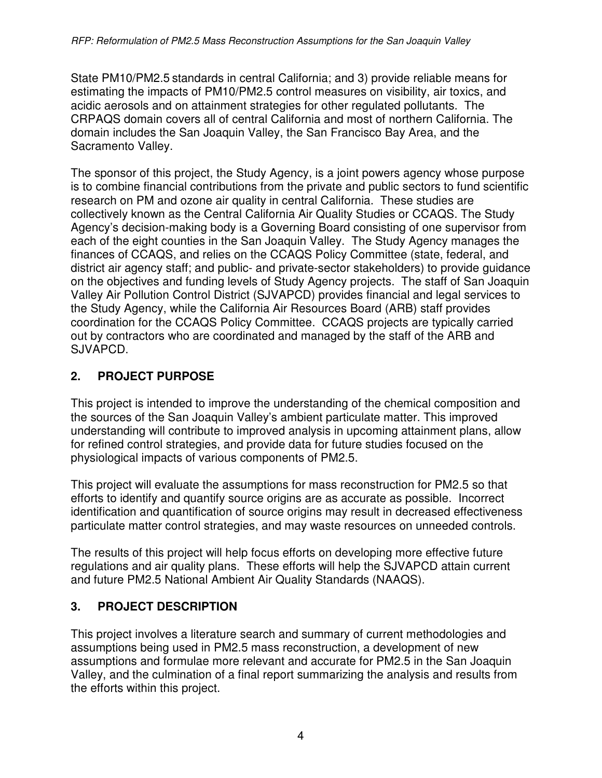State PM10/PM2.5 standards in central California; and 3) provide reliable means for estimating the impacts of PM10/PM2.5 control measures on visibility, air toxics, and acidic aerosols and on attainment strategies for other regulated pollutants. The CRPAQS domain covers all of central California and most of northern California. The domain includes the San Joaquin Valley, the San Francisco Bay Area, and the Sacramento Valley.

The sponsor of this project, the Study Agency, is a joint powers agency whose purpose is to combine financial contributions from the private and public sectors to fund scientific research on PM and ozone air quality in central California. These studies are collectively known as the Central California Air Quality Studies or CCAQS. The Study Agency's decision-making body is a Governing Board consisting of one supervisor from each of the eight counties in the San Joaquin Valley. The Study Agency manages the finances of CCAQS, and relies on the CCAQS Policy Committee (state, federal, and district air agency staff; and public- and private-sector stakeholders) to provide guidance on the objectives and funding levels of Study Agency projects. The staff of San Joaquin Valley Air Pollution Control District (SJVAPCD) provides financial and legal services to the Study Agency, while the California Air Resources Board (ARB) staff provides coordination for the CCAQS Policy Committee. CCAQS projects are typically carried out by contractors who are coordinated and managed by the staff of the ARB and SJVAPCD.

## **2. PROJECT PURPOSE**

This project is intended to improve the understanding of the chemical composition and the sources of the San Joaquin Valley's ambient particulate matter. This improved understanding will contribute to improved analysis in upcoming attainment plans, allow for refined control strategies, and provide data for future studies focused on the physiological impacts of various components of PM2.5.

This project will evaluate the assumptions for mass reconstruction for PM2.5 so that efforts to identify and quantify source origins are as accurate as possible. Incorrect identification and quantification of source origins may result in decreased effectiveness particulate matter control strategies, and may waste resources on unneeded controls.

The results of this project will help focus efforts on developing more effective future regulations and air quality plans. These efforts will help the SJVAPCD attain current and future PM2.5 National Ambient Air Quality Standards (NAAQS).

## **3. PROJECT DESCRIPTION**

This project involves a literature search and summary of current methodologies and assumptions being used in PM2.5 mass reconstruction, a development of new assumptions and formulae more relevant and accurate for PM2.5 in the San Joaquin Valley, and the culmination of a final report summarizing the analysis and results from the efforts within this project.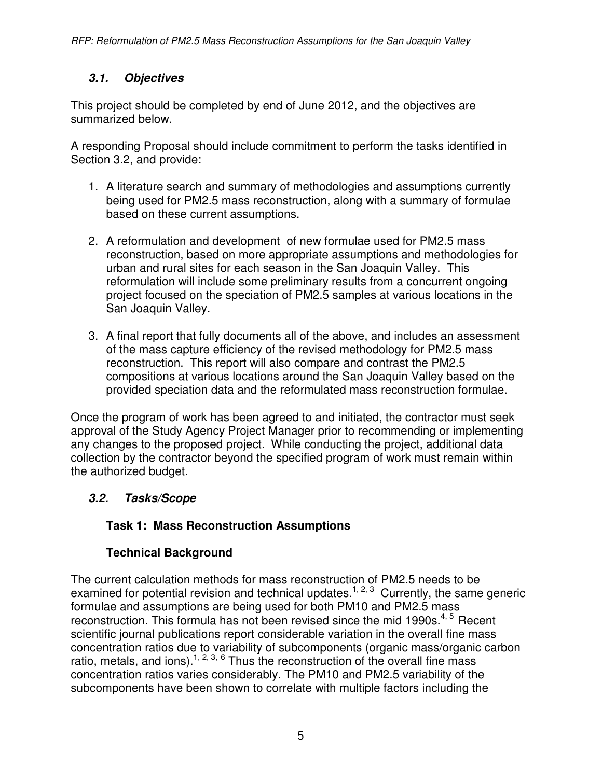## **3.1. Objectives**

This project should be completed by end of June 2012, and the objectives are summarized below.

A responding Proposal should include commitment to perform the tasks identified in Section 3.2, and provide:

- 1. A literature search and summary of methodologies and assumptions currently being used for PM2.5 mass reconstruction, along with a summary of formulae based on these current assumptions.
- 2. A reformulation and development of new formulae used for PM2.5 mass reconstruction, based on more appropriate assumptions and methodologies for urban and rural sites for each season in the San Joaquin Valley. This reformulation will include some preliminary results from a concurrent ongoing project focused on the speciation of PM2.5 samples at various locations in the San Joaquin Valley.
- 3. A final report that fully documents all of the above, and includes an assessment of the mass capture efficiency of the revised methodology for PM2.5 mass reconstruction. This report will also compare and contrast the PM2.5 compositions at various locations around the San Joaquin Valley based on the provided speciation data and the reformulated mass reconstruction formulae.

Once the program of work has been agreed to and initiated, the contractor must seek approval of the Study Agency Project Manager prior to recommending or implementing any changes to the proposed project. While conducting the project, additional data collection by the contractor beyond the specified program of work must remain within the authorized budget.

## **3.2. Tasks/Scope**

## **Task 1: Mass Reconstruction Assumptions**

## **Technical Background**

The current calculation methods for mass reconstruction of PM2.5 needs to be examined for potential revision and technical updates.<sup>1, 2, 3</sup> Currently, the same generic formulae and assumptions are being used for both PM10 and PM2.5 mass reconstruction. This formula has not been revised since the mid 1990s.<sup>4, 5</sup> Recent scientific journal publications report considerable variation in the overall fine mass concentration ratios due to variability of subcomponents (organic mass/organic carbon ratio, metals, and ions).<sup>1, 2, 3, 6</sup> Thus the reconstruction of the overall fine mass concentration ratios varies considerably. The PM10 and PM2.5 variability of the subcomponents have been shown to correlate with multiple factors including the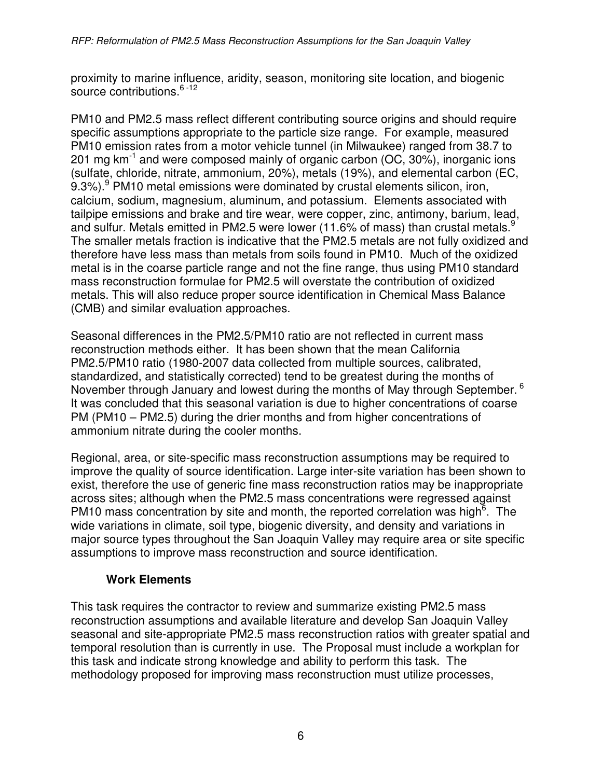proximity to marine influence, aridity, season, monitoring site location, and biogenic source contributions.6 -12

PM10 and PM2.5 mass reflect different contributing source origins and should require specific assumptions appropriate to the particle size range. For example, measured PM10 emission rates from a motor vehicle tunnel (in Milwaukee) ranged from 38.7 to 201 mg km<sup>-1</sup> and were composed mainly of organic carbon (OC, 30%), inorganic ions (sulfate, chloride, nitrate, ammonium, 20%), metals (19%), and elemental carbon (EC, 9.3%). $^{9}$  PM10 metal emissions were dominated by crustal elements silicon, iron, calcium, sodium, magnesium, aluminum, and potassium. Elements associated with tailpipe emissions and brake and tire wear, were copper, zinc, antimony, barium, lead, and sulfur. Metals emitted in PM2.5 were lower (11.6% of mass) than crustal metals.<sup>9</sup> The smaller metals fraction is indicative that the PM2.5 metals are not fully oxidized and therefore have less mass than metals from soils found in PM10. Much of the oxidized metal is in the coarse particle range and not the fine range, thus using PM10 standard mass reconstruction formulae for PM2.5 will overstate the contribution of oxidized metals. This will also reduce proper source identification in Chemical Mass Balance (CMB) and similar evaluation approaches.

Seasonal differences in the PM2.5/PM10 ratio are not reflected in current mass reconstruction methods either. It has been shown that the mean California PM2.5/PM10 ratio (1980-2007 data collected from multiple sources, calibrated, standardized, and statistically corrected) tend to be greatest during the months of November through January and lowest during the months of May through September.<sup>6</sup> It was concluded that this seasonal variation is due to higher concentrations of coarse PM (PM10 – PM2.5) during the drier months and from higher concentrations of ammonium nitrate during the cooler months.

Regional, area, or site-specific mass reconstruction assumptions may be required to improve the quality of source identification. Large inter-site variation has been shown to exist, therefore the use of generic fine mass reconstruction ratios may be inappropriate across sites; although when the PM2.5 mass concentrations were regressed against PM10 mass concentration by site and month, the reported correlation was high<sup> $\overline{6}$ </sup>. The wide variations in climate, soil type, biogenic diversity, and density and variations in major source types throughout the San Joaquin Valley may require area or site specific assumptions to improve mass reconstruction and source identification.

## **Work Elements**

This task requires the contractor to review and summarize existing PM2.5 mass reconstruction assumptions and available literature and develop San Joaquin Valley seasonal and site-appropriate PM2.5 mass reconstruction ratios with greater spatial and temporal resolution than is currently in use. The Proposal must include a workplan for this task and indicate strong knowledge and ability to perform this task. The methodology proposed for improving mass reconstruction must utilize processes,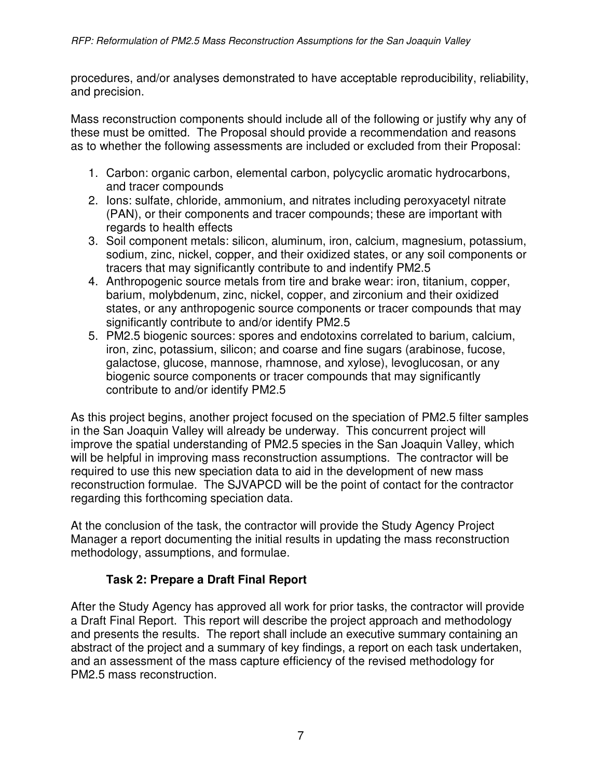procedures, and/or analyses demonstrated to have acceptable reproducibility, reliability, and precision.

Mass reconstruction components should include all of the following or justify why any of these must be omitted. The Proposal should provide a recommendation and reasons as to whether the following assessments are included or excluded from their Proposal:

- 1. Carbon: organic carbon, elemental carbon, polycyclic aromatic hydrocarbons, and tracer compounds
- 2. Ions: sulfate, chloride, ammonium, and nitrates including peroxyacetyl nitrate (PAN), or their components and tracer compounds; these are important with regards to health effects
- 3. Soil component metals: silicon, aluminum, iron, calcium, magnesium, potassium, sodium, zinc, nickel, copper, and their oxidized states, or any soil components or tracers that may significantly contribute to and indentify PM2.5
- 4. Anthropogenic source metals from tire and brake wear: iron, titanium, copper, barium, molybdenum, zinc, nickel, copper, and zirconium and their oxidized states, or any anthropogenic source components or tracer compounds that may significantly contribute to and/or identify PM2.5
- 5. PM2.5 biogenic sources: spores and endotoxins correlated to barium, calcium, iron, zinc, potassium, silicon; and coarse and fine sugars (arabinose, fucose, galactose, glucose, mannose, rhamnose, and xylose), levoglucosan, or any biogenic source components or tracer compounds that may significantly contribute to and/or identify PM2.5

As this project begins, another project focused on the speciation of PM2.5 filter samples in the San Joaquin Valley will already be underway. This concurrent project will improve the spatial understanding of PM2.5 species in the San Joaquin Valley, which will be helpful in improving mass reconstruction assumptions. The contractor will be required to use this new speciation data to aid in the development of new mass reconstruction formulae. The SJVAPCD will be the point of contact for the contractor regarding this forthcoming speciation data.

At the conclusion of the task, the contractor will provide the Study Agency Project Manager a report documenting the initial results in updating the mass reconstruction methodology, assumptions, and formulae.

## **Task 2: Prepare a Draft Final Report**

After the Study Agency has approved all work for prior tasks, the contractor will provide a Draft Final Report. This report will describe the project approach and methodology and presents the results. The report shall include an executive summary containing an abstract of the project and a summary of key findings, a report on each task undertaken, and an assessment of the mass capture efficiency of the revised methodology for PM2.5 mass reconstruction.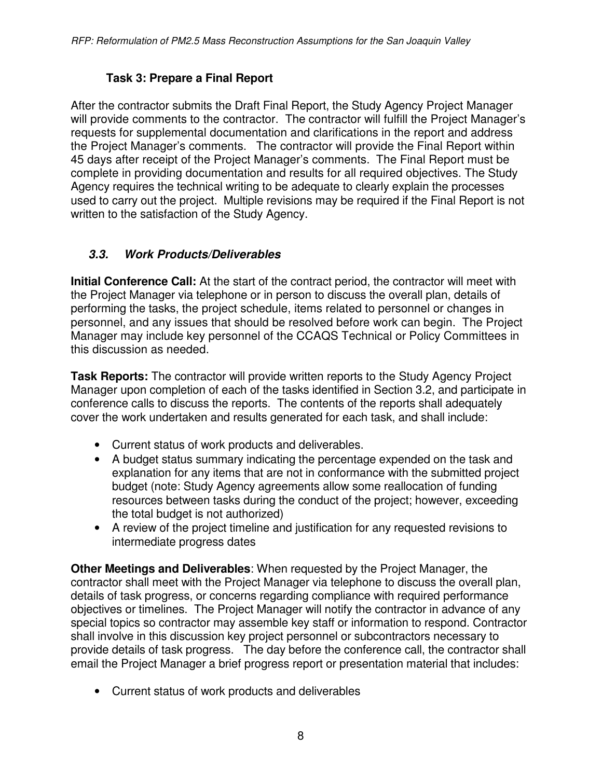#### **Task 3: Prepare a Final Report**

After the contractor submits the Draft Final Report, the Study Agency Project Manager will provide comments to the contractor. The contractor will fulfill the Project Manager's requests for supplemental documentation and clarifications in the report and address the Project Manager's comments. The contractor will provide the Final Report within 45 days after receipt of the Project Manager's comments. The Final Report must be complete in providing documentation and results for all required objectives. The Study Agency requires the technical writing to be adequate to clearly explain the processes used to carry out the project. Multiple revisions may be required if the Final Report is not written to the satisfaction of the Study Agency.

## **3.3. Work Products/Deliverables**

**Initial Conference Call:** At the start of the contract period, the contractor will meet with the Project Manager via telephone or in person to discuss the overall plan, details of performing the tasks, the project schedule, items related to personnel or changes in personnel, and any issues that should be resolved before work can begin. The Project Manager may include key personnel of the CCAQS Technical or Policy Committees in this discussion as needed.

**Task Reports:** The contractor will provide written reports to the Study Agency Project Manager upon completion of each of the tasks identified in Section 3.2, and participate in conference calls to discuss the reports. The contents of the reports shall adequately cover the work undertaken and results generated for each task, and shall include:

- Current status of work products and deliverables.
- A budget status summary indicating the percentage expended on the task and explanation for any items that are not in conformance with the submitted project budget (note: Study Agency agreements allow some reallocation of funding resources between tasks during the conduct of the project; however, exceeding the total budget is not authorized)
- A review of the project timeline and justification for any requested revisions to intermediate progress dates

**Other Meetings and Deliverables**: When requested by the Project Manager, the contractor shall meet with the Project Manager via telephone to discuss the overall plan, details of task progress, or concerns regarding compliance with required performance objectives or timelines. The Project Manager will notify the contractor in advance of any special topics so contractor may assemble key staff or information to respond. Contractor shall involve in this discussion key project personnel or subcontractors necessary to provide details of task progress. The day before the conference call, the contractor shall email the Project Manager a brief progress report or presentation material that includes:

• Current status of work products and deliverables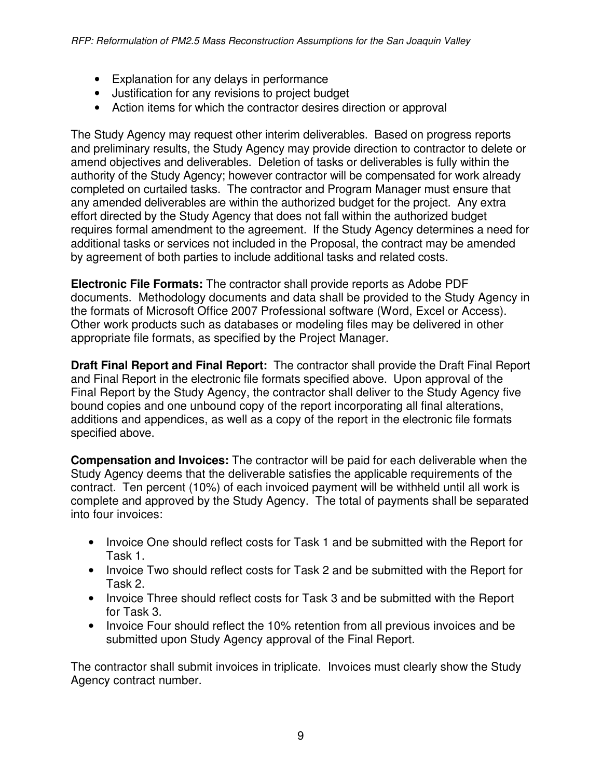- Explanation for any delays in performance
- Justification for any revisions to project budget
- Action items for which the contractor desires direction or approval

The Study Agency may request other interim deliverables. Based on progress reports and preliminary results, the Study Agency may provide direction to contractor to delete or amend objectives and deliverables. Deletion of tasks or deliverables is fully within the authority of the Study Agency; however contractor will be compensated for work already completed on curtailed tasks. The contractor and Program Manager must ensure that any amended deliverables are within the authorized budget for the project. Any extra effort directed by the Study Agency that does not fall within the authorized budget requires formal amendment to the agreement. If the Study Agency determines a need for additional tasks or services not included in the Proposal, the contract may be amended by agreement of both parties to include additional tasks and related costs.

**Electronic File Formats:** The contractor shall provide reports as Adobe PDF documents. Methodology documents and data shall be provided to the Study Agency in the formats of Microsoft Office 2007 Professional software (Word, Excel or Access). Other work products such as databases or modeling files may be delivered in other appropriate file formats, as specified by the Project Manager.

**Draft Final Report and Final Report:** The contractor shall provide the Draft Final Report and Final Report in the electronic file formats specified above. Upon approval of the Final Report by the Study Agency, the contractor shall deliver to the Study Agency five bound copies and one unbound copy of the report incorporating all final alterations, additions and appendices, as well as a copy of the report in the electronic file formats specified above.

**Compensation and Invoices:** The contractor will be paid for each deliverable when the Study Agency deems that the deliverable satisfies the applicable requirements of the contract. Ten percent (10%) of each invoiced payment will be withheld until all work is complete and approved by the Study Agency. The total of payments shall be separated into four invoices:

- Invoice One should reflect costs for Task 1 and be submitted with the Report for Task 1.
- Invoice Two should reflect costs for Task 2 and be submitted with the Report for Task 2.
- Invoice Three should reflect costs for Task 3 and be submitted with the Report for Task 3.
- Invoice Four should reflect the 10% retention from all previous invoices and be submitted upon Study Agency approval of the Final Report.

The contractor shall submit invoices in triplicate. Invoices must clearly show the Study Agency contract number.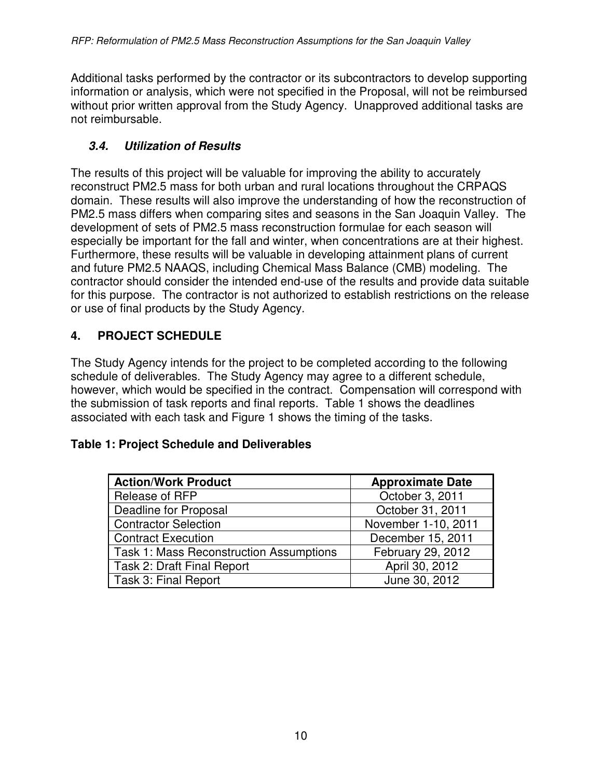Additional tasks performed by the contractor or its subcontractors to develop supporting information or analysis, which were not specified in the Proposal, will not be reimbursed without prior written approval from the Study Agency. Unapproved additional tasks are not reimbursable.

## **3.4. Utilization of Results**

The results of this project will be valuable for improving the ability to accurately reconstruct PM2.5 mass for both urban and rural locations throughout the CRPAQS domain. These results will also improve the understanding of how the reconstruction of PM2.5 mass differs when comparing sites and seasons in the San Joaquin Valley. The development of sets of PM2.5 mass reconstruction formulae for each season will especially be important for the fall and winter, when concentrations are at their highest. Furthermore, these results will be valuable in developing attainment plans of current and future PM2.5 NAAQS, including Chemical Mass Balance (CMB) modeling. The contractor should consider the intended end-use of the results and provide data suitable for this purpose. The contractor is not authorized to establish restrictions on the release or use of final products by the Study Agency.

## **4. PROJECT SCHEDULE**

The Study Agency intends for the project to be completed according to the following schedule of deliverables. The Study Agency may agree to a different schedule, however, which would be specified in the contract. Compensation will correspond with the submission of task reports and final reports. Table 1 shows the deadlines associated with each task and Figure 1 shows the timing of the tasks.

## **Table 1: Project Schedule and Deliverables**

| <b>Action/Work Product</b>                     | <b>Approximate Date</b> |  |  |
|------------------------------------------------|-------------------------|--|--|
| Release of RFP                                 | October 3, 2011         |  |  |
| Deadline for Proposal                          | October 31, 2011        |  |  |
| <b>Contractor Selection</b>                    | November 1-10, 2011     |  |  |
| <b>Contract Execution</b>                      | December 15, 2011       |  |  |
| <b>Task 1: Mass Reconstruction Assumptions</b> | February 29, 2012       |  |  |
| Task 2: Draft Final Report                     | April 30, 2012          |  |  |
| Task 3: Final Report                           | June 30, 2012           |  |  |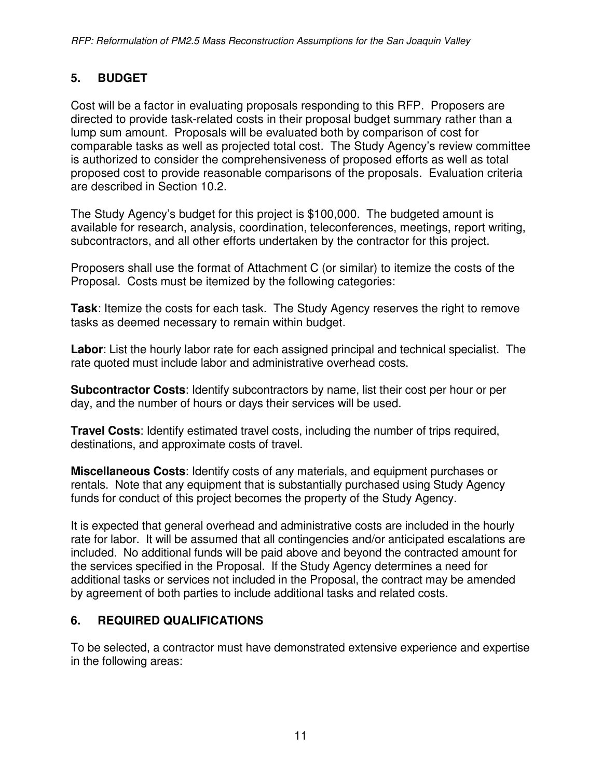## **5. BUDGET**

Cost will be a factor in evaluating proposals responding to this RFP. Proposers are directed to provide task-related costs in their proposal budget summary rather than a lump sum amount. Proposals will be evaluated both by comparison of cost for comparable tasks as well as projected total cost. The Study Agency's review committee is authorized to consider the comprehensiveness of proposed efforts as well as total proposed cost to provide reasonable comparisons of the proposals. Evaluation criteria are described in Section 10.2.

The Study Agency's budget for this project is \$100,000. The budgeted amount is available for research, analysis, coordination, teleconferences, meetings, report writing, subcontractors, and all other efforts undertaken by the contractor for this project.

Proposers shall use the format of Attachment C (or similar) to itemize the costs of the Proposal. Costs must be itemized by the following categories:

**Task**: Itemize the costs for each task. The Study Agency reserves the right to remove tasks as deemed necessary to remain within budget.

**Labor**: List the hourly labor rate for each assigned principal and technical specialist. The rate quoted must include labor and administrative overhead costs.

**Subcontractor Costs**: Identify subcontractors by name, list their cost per hour or per day, and the number of hours or days their services will be used.

**Travel Costs**: Identify estimated travel costs, including the number of trips required, destinations, and approximate costs of travel.

**Miscellaneous Costs**: Identify costs of any materials, and equipment purchases or rentals. Note that any equipment that is substantially purchased using Study Agency funds for conduct of this project becomes the property of the Study Agency.

It is expected that general overhead and administrative costs are included in the hourly rate for labor. It will be assumed that all contingencies and/or anticipated escalations are included. No additional funds will be paid above and beyond the contracted amount for the services specified in the Proposal. If the Study Agency determines a need for additional tasks or services not included in the Proposal, the contract may be amended by agreement of both parties to include additional tasks and related costs.

## **6. REQUIRED QUALIFICATIONS**

To be selected, a contractor must have demonstrated extensive experience and expertise in the following areas: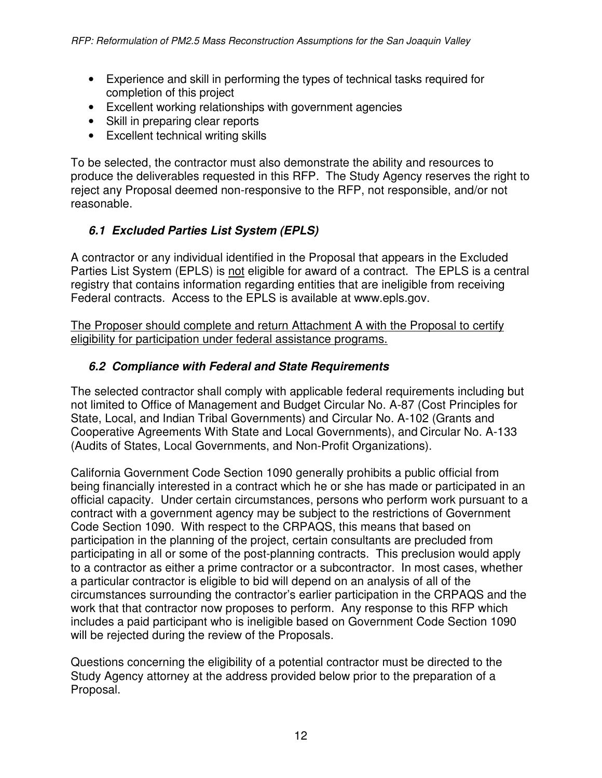- Experience and skill in performing the types of technical tasks required for completion of this project
- Excellent working relationships with government agencies
- Skill in preparing clear reports
- Excellent technical writing skills

To be selected, the contractor must also demonstrate the ability and resources to produce the deliverables requested in this RFP. The Study Agency reserves the right to reject any Proposal deemed non-responsive to the RFP, not responsible, and/or not reasonable.

## **6.1 Excluded Parties List System (EPLS)**

A contractor or any individual identified in the Proposal that appears in the Excluded Parties List System (EPLS) is not eligible for award of a contract. The EPLS is a central registry that contains information regarding entities that are ineligible from receiving Federal contracts. Access to the EPLS is available at www.epls.gov.

The Proposer should complete and return Attachment A with the Proposal to certify eligibility for participation under federal assistance programs.

## **6.2 Compliance with Federal and State Requirements**

The selected contractor shall comply with applicable federal requirements including but not limited to Office of Management and Budget Circular No. A-87 (Cost Principles for State, Local, and Indian Tribal Governments) and Circular No. A-102 (Grants and Cooperative Agreements With State and Local Governments), and Circular No. A-133 (Audits of States, Local Governments, and Non-Profit Organizations).

California Government Code Section 1090 generally prohibits a public official from being financially interested in a contract which he or she has made or participated in an official capacity. Under certain circumstances, persons who perform work pursuant to a contract with a government agency may be subject to the restrictions of Government Code Section 1090. With respect to the CRPAQS, this means that based on participation in the planning of the project, certain consultants are precluded from participating in all or some of the post-planning contracts. This preclusion would apply to a contractor as either a prime contractor or a subcontractor. In most cases, whether a particular contractor is eligible to bid will depend on an analysis of all of the circumstances surrounding the contractor's earlier participation in the CRPAQS and the work that that contractor now proposes to perform. Any response to this RFP which includes a paid participant who is ineligible based on Government Code Section 1090 will be rejected during the review of the Proposals.

Questions concerning the eligibility of a potential contractor must be directed to the Study Agency attorney at the address provided below prior to the preparation of a Proposal.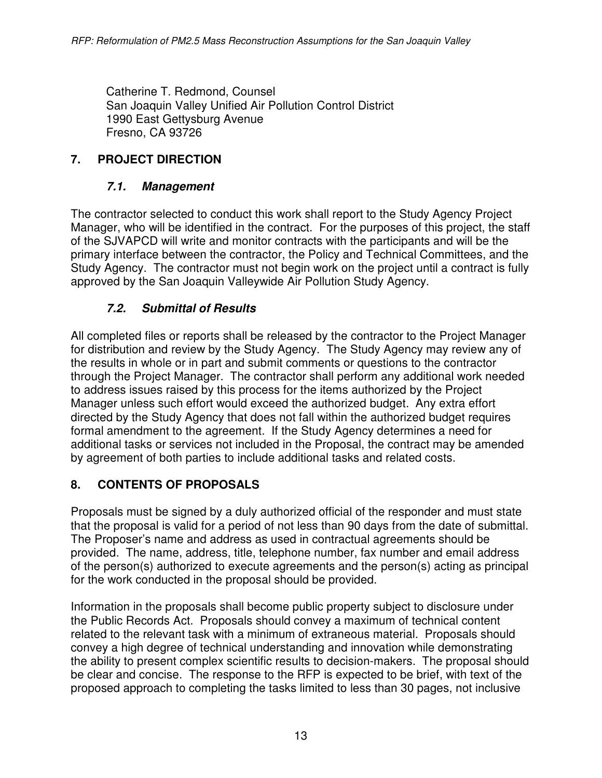Catherine T. Redmond, Counsel San Joaquin Valley Unified Air Pollution Control District 1990 East Gettysburg Avenue Fresno, CA 93726

## **7. PROJECT DIRECTION**

## **7.1. Management**

The contractor selected to conduct this work shall report to the Study Agency Project Manager, who will be identified in the contract. For the purposes of this project, the staff of the SJVAPCD will write and monitor contracts with the participants and will be the primary interface between the contractor, the Policy and Technical Committees, and the Study Agency. The contractor must not begin work on the project until a contract is fully approved by the San Joaquin Valleywide Air Pollution Study Agency.

## **7.2. Submittal of Results**

All completed files or reports shall be released by the contractor to the Project Manager for distribution and review by the Study Agency. The Study Agency may review any of the results in whole or in part and submit comments or questions to the contractor through the Project Manager. The contractor shall perform any additional work needed to address issues raised by this process for the items authorized by the Project Manager unless such effort would exceed the authorized budget. Any extra effort directed by the Study Agency that does not fall within the authorized budget requires formal amendment to the agreement. If the Study Agency determines a need for additional tasks or services not included in the Proposal, the contract may be amended by agreement of both parties to include additional tasks and related costs.

## **8. CONTENTS OF PROPOSALS**

Proposals must be signed by a duly authorized official of the responder and must state that the proposal is valid for a period of not less than 90 days from the date of submittal. The Proposer's name and address as used in contractual agreements should be provided. The name, address, title, telephone number, fax number and email address of the person(s) authorized to execute agreements and the person(s) acting as principal for the work conducted in the proposal should be provided.

Information in the proposals shall become public property subject to disclosure under the Public Records Act. Proposals should convey a maximum of technical content related to the relevant task with a minimum of extraneous material. Proposals should convey a high degree of technical understanding and innovation while demonstrating the ability to present complex scientific results to decision-makers. The proposal should be clear and concise. The response to the RFP is expected to be brief, with text of the proposed approach to completing the tasks limited to less than 30 pages, not inclusive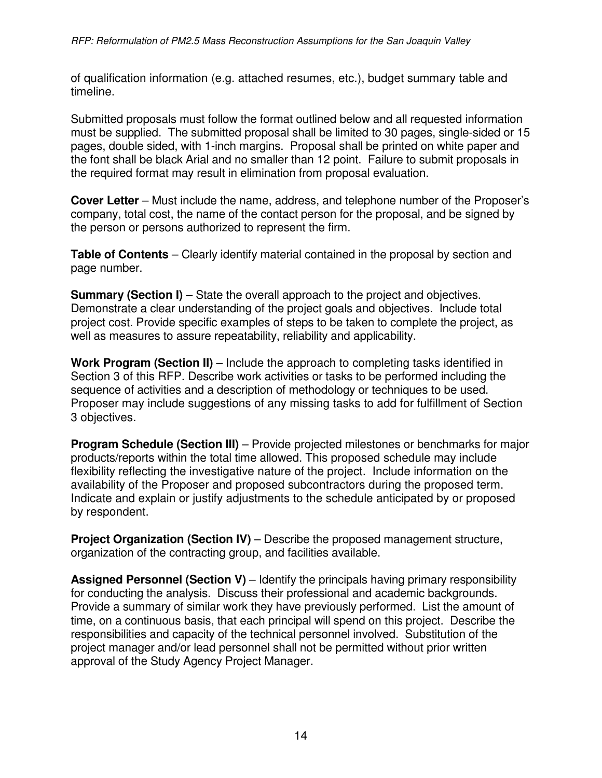of qualification information (e.g. attached resumes, etc.), budget summary table and timeline.

Submitted proposals must follow the format outlined below and all requested information must be supplied. The submitted proposal shall be limited to 30 pages, single-sided or 15 pages, double sided, with 1-inch margins. Proposal shall be printed on white paper and the font shall be black Arial and no smaller than 12 point. Failure to submit proposals in the required format may result in elimination from proposal evaluation.

**Cover Letter** – Must include the name, address, and telephone number of the Proposer's company, total cost, the name of the contact person for the proposal, and be signed by the person or persons authorized to represent the firm.

**Table of Contents** – Clearly identify material contained in the proposal by section and page number.

**Summary (Section I)** – State the overall approach to the project and objectives. Demonstrate a clear understanding of the project goals and objectives. Include total project cost. Provide specific examples of steps to be taken to complete the project, as well as measures to assure repeatability, reliability and applicability.

**Work Program (Section II)** – Include the approach to completing tasks identified in Section 3 of this RFP. Describe work activities or tasks to be performed including the sequence of activities and a description of methodology or techniques to be used. Proposer may include suggestions of any missing tasks to add for fulfillment of Section 3 objectives.

**Program Schedule (Section III)** – Provide projected milestones or benchmarks for major products/reports within the total time allowed. This proposed schedule may include flexibility reflecting the investigative nature of the project. Include information on the availability of the Proposer and proposed subcontractors during the proposed term. Indicate and explain or justify adjustments to the schedule anticipated by or proposed by respondent.

**Project Organization (Section IV)** – Describe the proposed management structure, organization of the contracting group, and facilities available.

**Assigned Personnel (Section V)** – Identify the principals having primary responsibility for conducting the analysis. Discuss their professional and academic backgrounds. Provide a summary of similar work they have previously performed. List the amount of time, on a continuous basis, that each principal will spend on this project. Describe the responsibilities and capacity of the technical personnel involved. Substitution of the project manager and/or lead personnel shall not be permitted without prior written approval of the Study Agency Project Manager.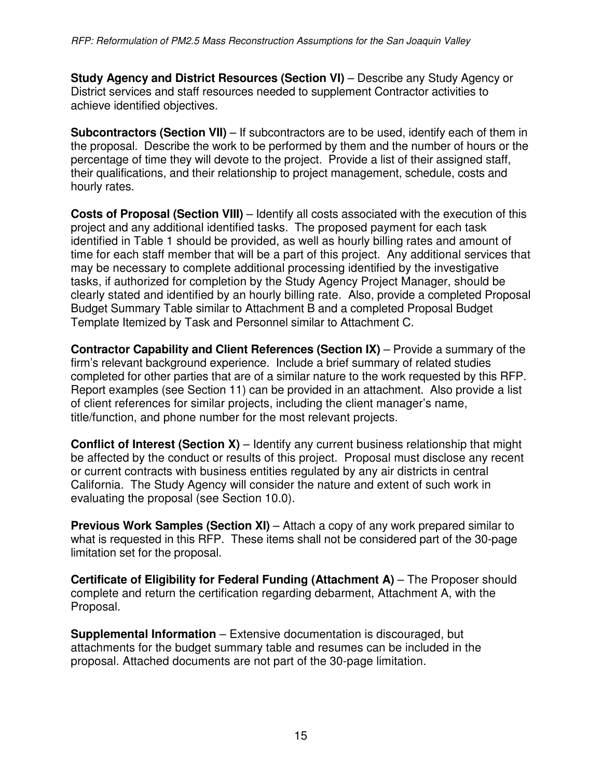**Study Agency and District Resources (Section VI)** – Describe any Study Agency or District services and staff resources needed to supplement Contractor activities to achieve identified objectives.

**Subcontractors (Section VII)** – If subcontractors are to be used, identify each of them in the proposal. Describe the work to be performed by them and the number of hours or the percentage of time they will devote to the project. Provide a list of their assigned staff, their qualifications, and their relationship to project management, schedule, costs and hourly rates.

**Costs of Proposal (Section VIII)** – Identify all costs associated with the execution of this project and any additional identified tasks. The proposed payment for each task identified in Table 1 should be provided, as well as hourly billing rates and amount of time for each staff member that will be a part of this project. Any additional services that may be necessary to complete additional processing identified by the investigative tasks, if authorized for completion by the Study Agency Project Manager, should be clearly stated and identified by an hourly billing rate. Also, provide a completed Proposal Budget Summary Table similar to Attachment B and a completed Proposal Budget Template Itemized by Task and Personnel similar to Attachment C.

**Contractor Capability and Client References (Section IX)** – Provide a summary of the firm's relevant background experience. Include a brief summary of related studies completed for other parties that are of a similar nature to the work requested by this RFP. Report examples (see Section 11) can be provided in an attachment. Also provide a list of client references for similar projects, including the client manager's name, title/function, and phone number for the most relevant projects.

**Conflict of Interest (Section X)** – Identify any current business relationship that might be affected by the conduct or results of this project. Proposal must disclose any recent or current contracts with business entities regulated by any air districts in central California. The Study Agency will consider the nature and extent of such work in evaluating the proposal (see Section 10.0).

**Previous Work Samples (Section XI)** – Attach a copy of any work prepared similar to what is requested in this RFP. These items shall not be considered part of the 30-page limitation set for the proposal.

**Certificate of Eligibility for Federal Funding (Attachment A)** – The Proposer should complete and return the certification regarding debarment, Attachment A, with the Proposal.

**Supplemental Information** – Extensive documentation is discouraged, but attachments for the budget summary table and resumes can be included in the proposal. Attached documents are not part of the 30-page limitation.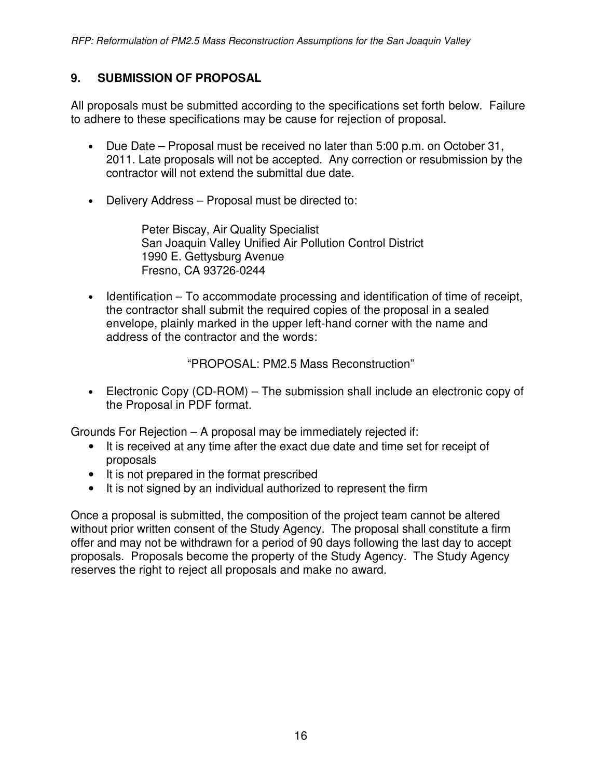#### **9. SUBMISSION OF PROPOSAL**

All proposals must be submitted according to the specifications set forth below. Failure to adhere to these specifications may be cause for rejection of proposal.

- Due Date Proposal must be received no later than 5:00 p.m. on October 31, 2011. Late proposals will not be accepted. Any correction or resubmission by the contractor will not extend the submittal due date.
- Delivery Address Proposal must be directed to:

Peter Biscay, Air Quality Specialist San Joaquin Valley Unified Air Pollution Control District 1990 E. Gettysburg Avenue Fresno, CA 93726-0244

• Identification – To accommodate processing and identification of time of receipt, the contractor shall submit the required copies of the proposal in a sealed envelope, plainly marked in the upper left-hand corner with the name and address of the contractor and the words:

"PROPOSAL: PM2.5 Mass Reconstruction"

• Electronic Copy (CD-ROM) – The submission shall include an electronic copy of the Proposal in PDF format.

Grounds For Rejection – A proposal may be immediately rejected if:

- It is received at any time after the exact due date and time set for receipt of proposals
- It is not prepared in the format prescribed
- It is not signed by an individual authorized to represent the firm

Once a proposal is submitted, the composition of the project team cannot be altered without prior written consent of the Study Agency. The proposal shall constitute a firm offer and may not be withdrawn for a period of 90 days following the last day to accept proposals. Proposals become the property of the Study Agency. The Study Agency reserves the right to reject all proposals and make no award.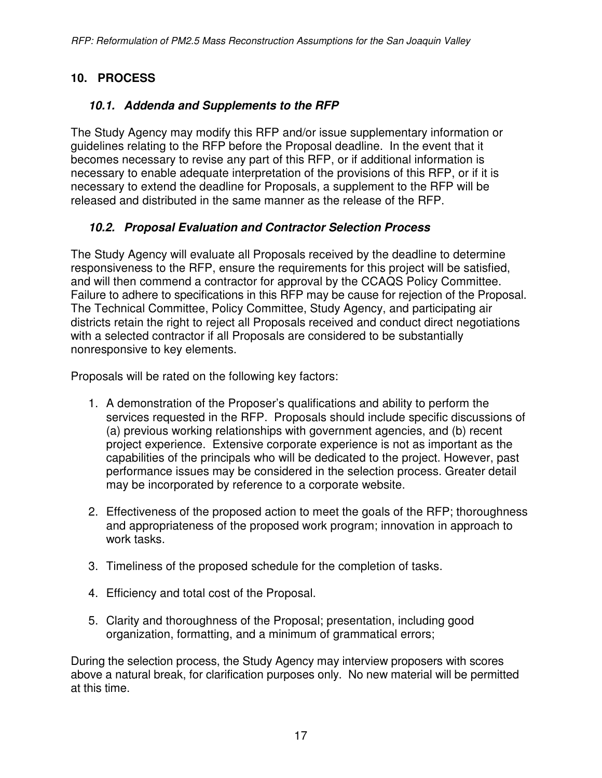## **10. PROCESS**

#### **10.1. Addenda and Supplements to the RFP**

The Study Agency may modify this RFP and/or issue supplementary information or guidelines relating to the RFP before the Proposal deadline. In the event that it becomes necessary to revise any part of this RFP, or if additional information is necessary to enable adequate interpretation of the provisions of this RFP, or if it is necessary to extend the deadline for Proposals, a supplement to the RFP will be released and distributed in the same manner as the release of the RFP.

#### **10.2. Proposal Evaluation and Contractor Selection Process**

The Study Agency will evaluate all Proposals received by the deadline to determine responsiveness to the RFP, ensure the requirements for this project will be satisfied, and will then commend a contractor for approval by the CCAQS Policy Committee. Failure to adhere to specifications in this RFP may be cause for rejection of the Proposal. The Technical Committee, Policy Committee, Study Agency, and participating air districts retain the right to reject all Proposals received and conduct direct negotiations with a selected contractor if all Proposals are considered to be substantially nonresponsive to key elements.

Proposals will be rated on the following key factors:

- 1. A demonstration of the Proposer's qualifications and ability to perform the services requested in the RFP. Proposals should include specific discussions of (a) previous working relationships with government agencies, and (b) recent project experience. Extensive corporate experience is not as important as the capabilities of the principals who will be dedicated to the project. However, past performance issues may be considered in the selection process. Greater detail may be incorporated by reference to a corporate website.
- 2. Effectiveness of the proposed action to meet the goals of the RFP; thoroughness and appropriateness of the proposed work program; innovation in approach to work tasks.
- 3. Timeliness of the proposed schedule for the completion of tasks.
- 4. Efficiency and total cost of the Proposal.
- 5. Clarity and thoroughness of the Proposal; presentation, including good organization, formatting, and a minimum of grammatical errors;

During the selection process, the Study Agency may interview proposers with scores above a natural break, for clarification purposes only. No new material will be permitted at this time.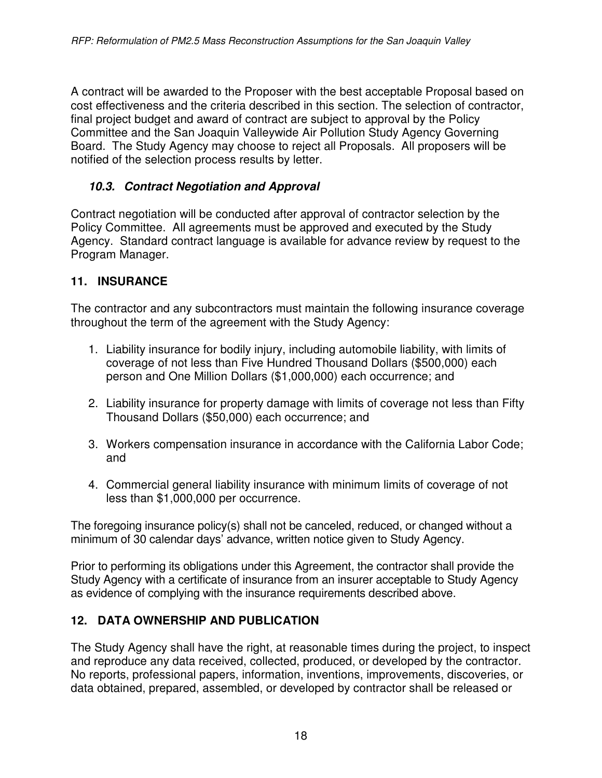A contract will be awarded to the Proposer with the best acceptable Proposal based on cost effectiveness and the criteria described in this section. The selection of contractor, final project budget and award of contract are subject to approval by the Policy Committee and the San Joaquin Valleywide Air Pollution Study Agency Governing Board. The Study Agency may choose to reject all Proposals. All proposers will be notified of the selection process results by letter.

#### **10.3. Contract Negotiation and Approval**

Contract negotiation will be conducted after approval of contractor selection by the Policy Committee. All agreements must be approved and executed by the Study Agency. Standard contract language is available for advance review by request to the Program Manager.

#### **11. INSURANCE**

The contractor and any subcontractors must maintain the following insurance coverage throughout the term of the agreement with the Study Agency:

- 1. Liability insurance for bodily injury, including automobile liability, with limits of coverage of not less than Five Hundred Thousand Dollars (\$500,000) each person and One Million Dollars (\$1,000,000) each occurrence; and
- 2. Liability insurance for property damage with limits of coverage not less than Fifty Thousand Dollars (\$50,000) each occurrence; and
- 3. Workers compensation insurance in accordance with the California Labor Code; and
- 4. Commercial general liability insurance with minimum limits of coverage of not less than \$1,000,000 per occurrence.

The foregoing insurance policy(s) shall not be canceled, reduced, or changed without a minimum of 30 calendar days' advance, written notice given to Study Agency.

Prior to performing its obligations under this Agreement, the contractor shall provide the Study Agency with a certificate of insurance from an insurer acceptable to Study Agency as evidence of complying with the insurance requirements described above.

## **12. DATA OWNERSHIP AND PUBLICATION**

The Study Agency shall have the right, at reasonable times during the project, to inspect and reproduce any data received, collected, produced, or developed by the contractor. No reports, professional papers, information, inventions, improvements, discoveries, or data obtained, prepared, assembled, or developed by contractor shall be released or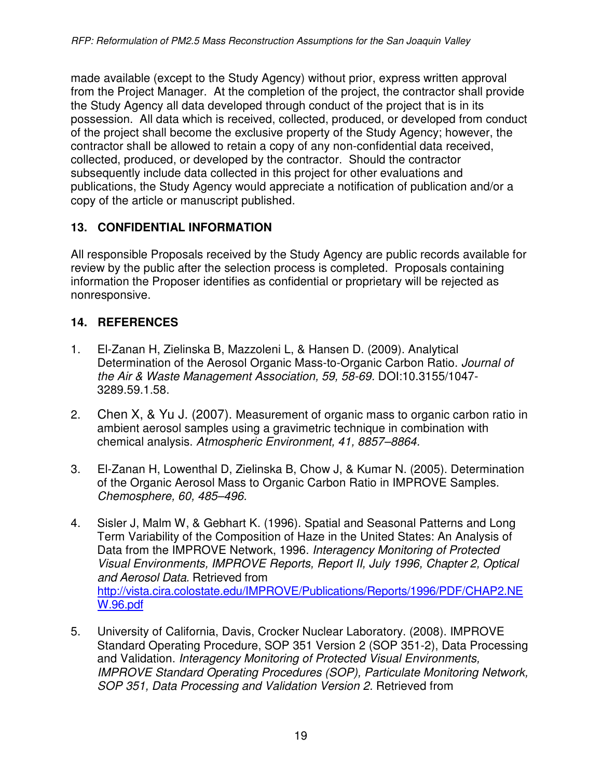made available (except to the Study Agency) without prior, express written approval from the Project Manager. At the completion of the project, the contractor shall provide the Study Agency all data developed through conduct of the project that is in its possession. All data which is received, collected, produced, or developed from conduct of the project shall become the exclusive property of the Study Agency; however, the contractor shall be allowed to retain a copy of any non-confidential data received, collected, produced, or developed by the contractor. Should the contractor subsequently include data collected in this project for other evaluations and publications, the Study Agency would appreciate a notification of publication and/or a copy of the article or manuscript published.

#### **13. CONFIDENTIAL INFORMATION**

All responsible Proposals received by the Study Agency are public records available for review by the public after the selection process is completed. Proposals containing information the Proposer identifies as confidential or proprietary will be rejected as nonresponsive.

#### **14. REFERENCES**

- 1. El-Zanan H, Zielinska B, Mazzoleni L, & Hansen D. (2009). Analytical Determination of the Aerosol Organic Mass-to-Organic Carbon Ratio. *Journal of the Air & Waste Management Association, 59, 58-69.* DOI:10.3155/1047- 3289.59.1.58.
- 2. Chen X, & Yu J. (2007). Measurement of organic mass to organic carbon ratio in ambient aerosol samples using a gravimetric technique in combination with chemical analysis. *Atmospheric Environment, 41, 8857–8864.*
- 3. El-Zanan H, Lowenthal D, Zielinska B, Chow J, & Kumar N. (2005). Determination of the Organic Aerosol Mass to Organic Carbon Ratio in IMPROVE Samples. *Chemosphere, 60, 485–496.*
- 4. Sisler J, Malm W, & Gebhart K. (1996). Spatial and Seasonal Patterns and Long Term Variability of the Composition of Haze in the United States: An Analysis of Data from the IMPROVE Network, 1996. *Interagency Monitoring of Protected Visual Environments, IMPROVE Reports, Report II, July 1996, Chapter 2, Optical and Aerosol Data.* Retrieved from http://vista.cira.colostate.edu/IMPROVE/Publications/Reports/1996/PDF/CHAP2.NE W.96.pdf
- 5. University of California, Davis, Crocker Nuclear Laboratory. (2008). IMPROVE Standard Operating Procedure, SOP 351 Version 2 (SOP 351-2), Data Processing and Validation. *Interagency Monitoring of Protected Visual Environments, IMPROVE Standard Operating Procedures (SOP), Particulate Monitoring Network, SOP 351, Data Processing and Validation Version 2. Retrieved from*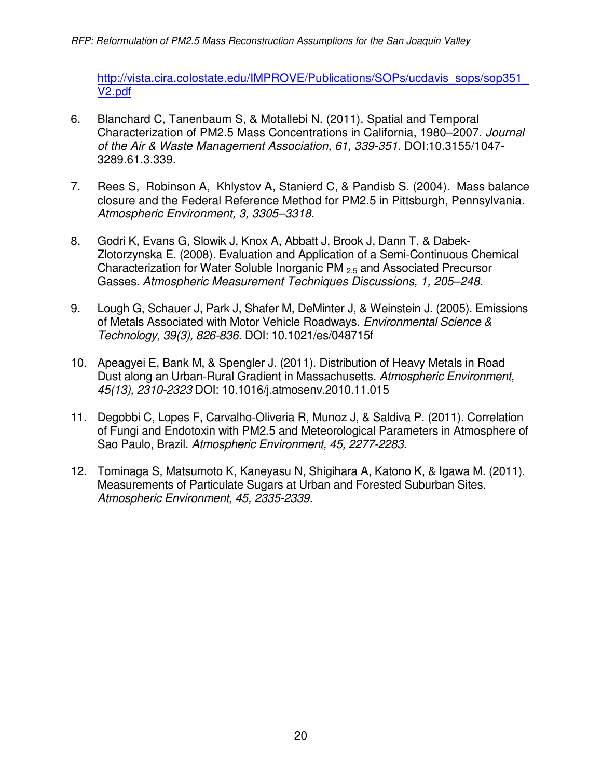*RFP: Reformulation of PM2.5 Mass Reconstruction Assumptions for the San Joaquin Valley*

http://vista.cira.colostate.edu/IMPROVE/Publications/SOPs/ucdavis\_sops/sop351\_ V2.pdf

- 6. Blanchard C, Tanenbaum S, & Motallebi N. (2011). Spatial and Temporal Characterization of PM2.5 Mass Concentrations in California, 1980–2007. *Journal of the Air & Waste Management Association, 61, 339-351.* DOI:10.3155/1047- 3289.61.3.339.
- 7. Rees S, Robinson A, Khlystov A, Stanierd C, & Pandisb S. (2004). Mass balance closure and the Federal Reference Method for PM2.5 in Pittsburgh, Pennsylvania. *Atmospheric Environment, 3, 3305–3318.*
- 8. Godri K, Evans G, Slowik J, Knox A, Abbatt J, Brook J, Dann T, & Dabek-Zlotorzynska E. (2008). Evaluation and Application of a Semi-Continuous Chemical Characterization for Water Soluble Inorganic PM 2.5 and Associated Precursor Gasses. *Atmospheric Measurement Techniques Discussions, 1, 205–248.*
- 9. Lough G, Schauer J, Park J, Shafer M, DeMinter J, & Weinstein J. (2005). Emissions of Metals Associated with Motor Vehicle Roadways. *Environmental Science & Technology, 39(3), 826-836.* DOI: 10.1021/es/048715f
- 10. Apeagyei E, Bank M, & Spengler J. (2011). Distribution of Heavy Metals in Road Dust along an Urban-Rural Gradient in Massachusetts. *Atmospheric Environment, 45(13), 2310-2323* DOI: 10.1016/j.atmosenv.2010.11.015
- 11. Degobbi C, Lopes F, Carvalho-Oliveria R, Munoz J, & Saldiva P. (2011). Correlation of Fungi and Endotoxin with PM2.5 and Meteorological Parameters in Atmosphere of Sao Paulo, Brazil. *Atmospheric Environment, 45, 2277-2283.*
- 12. Tominaga S, Matsumoto K, Kaneyasu N, Shigihara A, Katono K, & Igawa M. (2011). Measurements of Particulate Sugars at Urban and Forested Suburban Sites. *Atmospheric Environment, 45, 2335-2339.*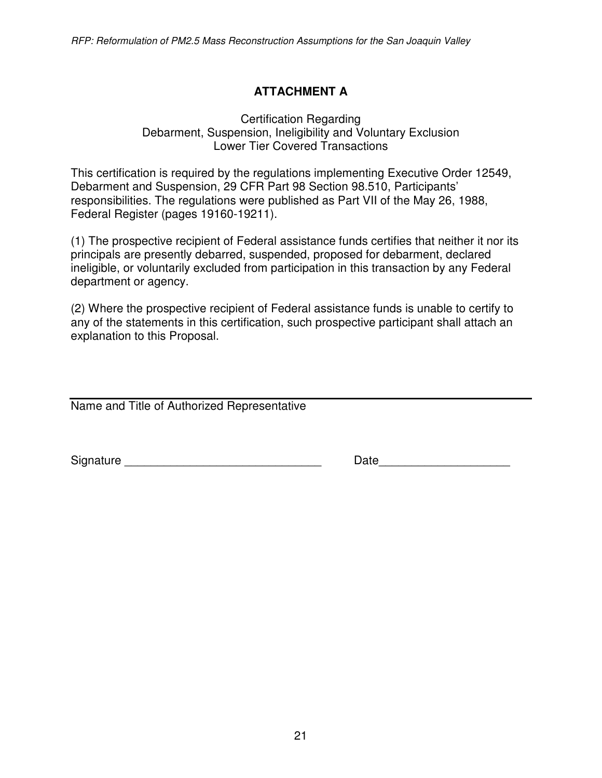## **ATTACHMENT A**

#### Certification Regarding Debarment, Suspension, Ineligibility and Voluntary Exclusion Lower Tier Covered Transactions

This certification is required by the regulations implementing Executive Order 12549, Debarment and Suspension, 29 CFR Part 98 Section 98.510, Participants' responsibilities. The regulations were published as Part VII of the May 26, 1988, Federal Register (pages 19160-19211).

(1) The prospective recipient of Federal assistance funds certifies that neither it nor its principals are presently debarred, suspended, proposed for debarment, declared ineligible, or voluntarily excluded from participation in this transaction by any Federal department or agency.

(2) Where the prospective recipient of Federal assistance funds is unable to certify to any of the statements in this certification, such prospective participant shall attach an explanation to this Proposal.

Name and Title of Authorized Representative

Signature \_\_\_\_\_\_\_\_\_\_\_\_\_\_\_\_\_\_\_\_\_\_\_\_\_\_\_\_\_\_ Date\_\_\_\_\_\_\_\_\_\_\_\_\_\_\_\_\_\_\_\_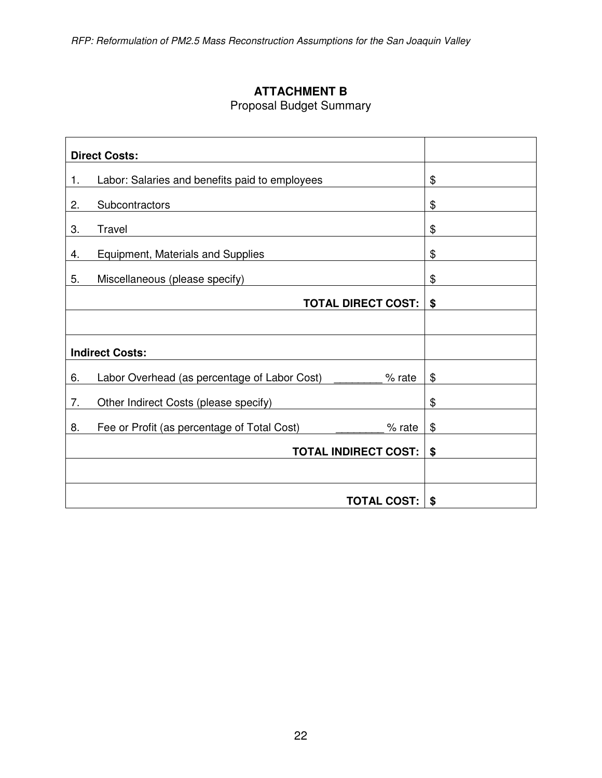# **ATTACHMENT B**

## Proposal Budget Summary

|                             | <b>Direct Costs:</b>                                         |    |
|-----------------------------|--------------------------------------------------------------|----|
| 1.                          | Labor: Salaries and benefits paid to employees               | \$ |
| 2.                          | Subcontractors                                               | \$ |
| 3.                          | Travel                                                       | \$ |
| 4.                          | Equipment, Materials and Supplies                            | \$ |
| 5.                          | Miscellaneous (please specify)                               | \$ |
|                             | <b>TOTAL DIRECT COST:</b>                                    | \$ |
|                             |                                                              |    |
|                             | <b>Indirect Costs:</b>                                       |    |
| 6.                          | Labor Overhead (as percentage of Labor Cost) _____<br>% rate | \$ |
| 7.                          | Other Indirect Costs (please specify)                        | \$ |
| 8.                          | Fee or Profit (as percentage of Total Cost)<br>% rate        | \$ |
| <b>TOTAL INDIRECT COST:</b> |                                                              | \$ |
|                             |                                                              |    |
|                             | <b>TOTAL COST:</b>                                           | \$ |